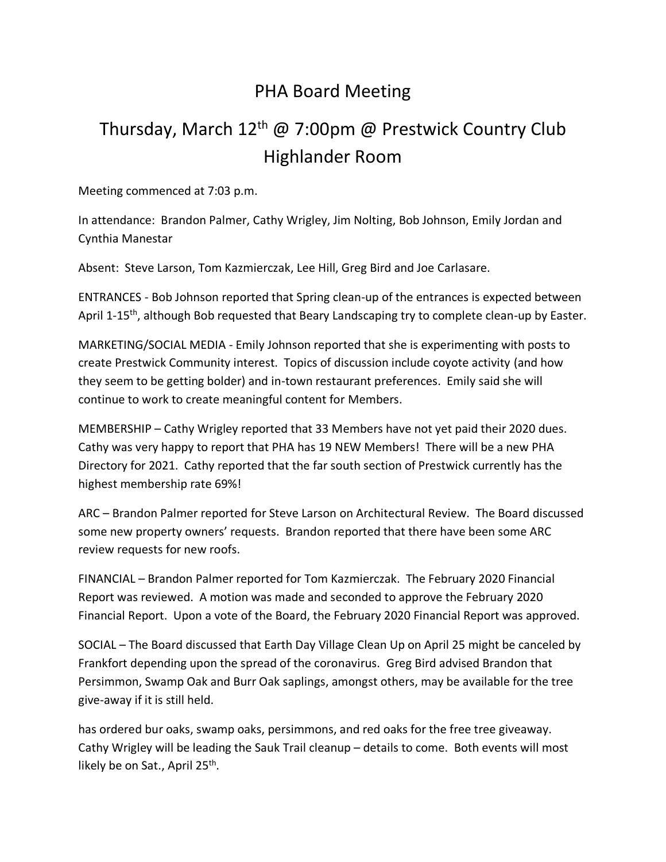## PHA Board Meeting

## Thursday, March 12<sup>th</sup> @ 7:00pm @ Prestwick Country Club Highlander Room

Meeting commenced at 7:03 p.m.

In attendance: Brandon Palmer, Cathy Wrigley, Jim Nolting, Bob Johnson, Emily Jordan and Cynthia Manestar

Absent: Steve Larson, Tom Kazmierczak, Lee Hill, Greg Bird and Joe Carlasare.

ENTRANCES - Bob Johnson reported that Spring clean-up of the entrances is expected between April 1-15<sup>th</sup>, although Bob requested that Beary Landscaping try to complete clean-up by Easter.

MARKETING/SOCIAL MEDIA - Emily Johnson reported that she is experimenting with posts to create Prestwick Community interest. Topics of discussion include coyote activity (and how they seem to be getting bolder) and in-town restaurant preferences. Emily said she will continue to work to create meaningful content for Members.

MEMBERSHIP – Cathy Wrigley reported that 33 Members have not yet paid their 2020 dues. Cathy was very happy to report that PHA has 19 NEW Members! There will be a new PHA Directory for 2021. Cathy reported that the far south section of Prestwick currently has the highest membership rate 69%!

ARC – Brandon Palmer reported for Steve Larson on Architectural Review. The Board discussed some new property owners' requests. Brandon reported that there have been some ARC review requests for new roofs.

FINANCIAL – Brandon Palmer reported for Tom Kazmierczak. The February 2020 Financial Report was reviewed. A motion was made and seconded to approve the February 2020 Financial Report. Upon a vote of the Board, the February 2020 Financial Report was approved.

SOCIAL – The Board discussed that Earth Day Village Clean Up on April 25 might be canceled by Frankfort depending upon the spread of the coronavirus. Greg Bird advised Brandon that Persimmon, Swamp Oak and Burr Oak saplings, amongst others, may be available for the tree give-away if it is still held.

has ordered bur oaks, swamp oaks, persimmons, and red oaks for the free tree giveaway. Cathy Wrigley will be leading the Sauk Trail cleanup – details to come. Both events will most likely be on Sat., April 25<sup>th</sup>.